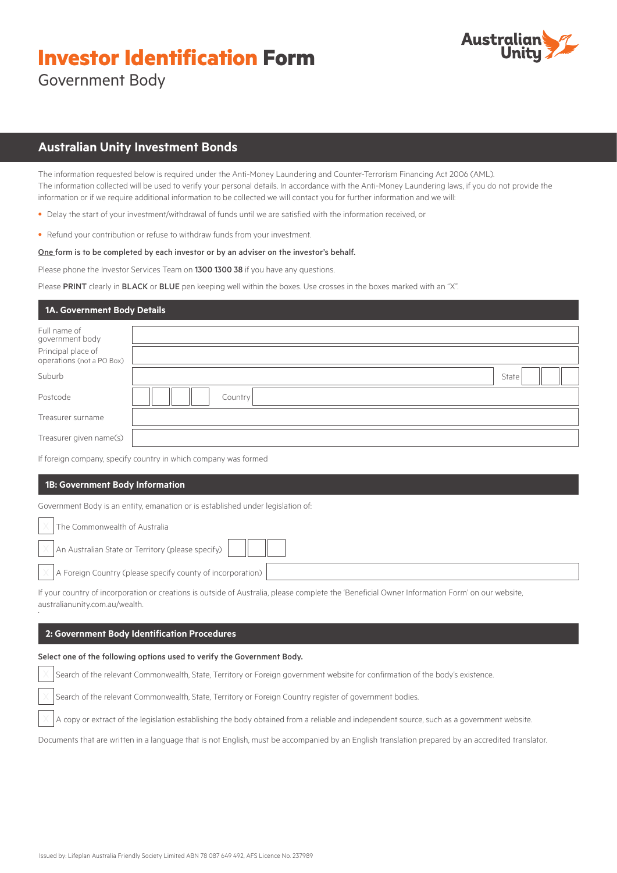# **Investor Identification Form**



Government Body

# **Australian Unity Investment Bonds**

The information requested below is required under the Anti-Money Laundering and Counter-Terrorism Financing Act 2006 (AML). The information collected will be used to verify your personal details. In accordance with the Anti-Money Laundering laws, if you do not provide the information or if we require additional information to be collected we will contact you for further information and we will:

- Delay the start of your investment/withdrawal of funds until we are satisfied with the information received, or
- Refund your contribution or refuse to withdraw funds from your investment.

# One form is to be completed by each investor or by an adviser on the investor's behalf.

Please phone the Investor Services Team on 1300 1300 38 if you have any questions.

Please PRINT clearly in BLACK or BLUE pen keeping well within the boxes. Use crosses in the boxes marked with an "X".

# **1A. Government Body Details**

| Full name of<br>government body                 |         |
|-------------------------------------------------|---------|
| Principal place of<br>operations (not a PO Box) |         |
| Suburb                                          | State   |
| Postcode                                        | Country |
| Treasurer surname                               |         |
| Treasurer given name(s)                         |         |

If foreign company, specify country in which company was formed

# **1B: Government Body Information**

Government Body is an entity, emanation or is established under legislation of:

| The Commonwealth of Australia                                                                               |  |
|-------------------------------------------------------------------------------------------------------------|--|
| $\boxed{\times}$ An Australian State or Territory (please specify) $\begin{array}{ c c }\hline \end{array}$ |  |
| $\vert \times \vert$ A Foreign Country (please specify county of incorporation) $\vert \cdot \vert$         |  |

If your country of incorporation or creations is outside of Australia, please complete the 'Beneficial Owner Information Form' on our website, australianunity.com.au/wealth. .

# **2: Government Body Identification Procedures**

# Select one of the following options used to verify the Government Body.

Search of the relevant Commonwealth, State, Territory or Foreign government website for confirmation of the body's existence.

Search of the relevant Commonwealth, State, Territory or Foreign Country register of government bodies.

A copy or extract of the legislation establishing the body obtained from a reliable and independent source, such as a government website.

Documents that are written in a language that is not English, must be accompanied by an English translation prepared by an accredited translator.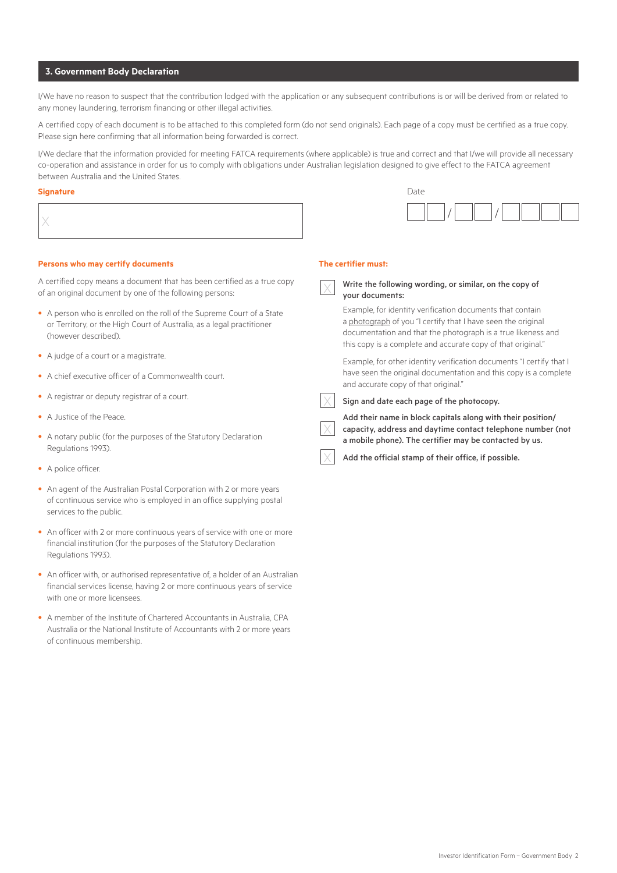# **3. Government Body Declaration**

I/We have no reason to suspect that the contribution lodged with the application or any subsequent contributions is or will be derived from or related to any money laundering, terrorism financing or other illegal activities.

A certified copy of each document is to be attached to this completed form (do not send originals). Each page of a copy must be certified as a true copy. Please sign here confirming that all information being forwarded is correct.

I/We declare that the information provided for meeting FATCA requirements (where applicable) is true and correct and that I/we will provide all necessary co-operation and assistance in order for us to comply with obligations under Australian legislation designed to give effect to the FATCA agreement between Australia and the United States.

#### **Signature** Date

| ignature | Date |
|----------|------|
|          |      |

#### **Persons who may certify documents**

A certified copy means a document that has been certified as a true copy of an original document by one of the following persons:

- A person who is enrolled on the roll of the Supreme Court of a State or Territory, or the High Court of Australia, as a legal practitioner (however described).
- A judge of a court or a magistrate.
- A chief executive officer of a Commonwealth court.
- A registrar or deputy registrar of a court.
- A Justice of the Peace.
- A notary public (for the purposes of the Statutory Declaration Regulations 1993).
- A police officer.
- An agent of the Australian Postal Corporation with 2 or more years of continuous service who is employed in an office supplying postal services to the public.
- An officer with 2 or more continuous years of service with one or more financial institution (for the purposes of the Statutory Declaration Regulations 1993).
- An officer with, or authorised representative of, a holder of an Australian financial services license, having 2 or more continuous years of service with one or more licensees.
- A member of the Institute of Chartered Accountants in Australia, CPA Australia or the National Institute of Accountants with 2 or more years of continuous membership.

#### **The certifier must:**

 $\times$ 

your documents:

# Write the following wording, or similar, on the copy of

Example, for identity verification documents that contain a photograph of you "I certify that I have seen the original documentation and that the photograph is a true likeness and this copy is a complete and accurate copy of that original."

Example, for other identity verification documents "I certify that I have seen the original documentation and this copy is a complete and accurate copy of that original."

# Sign and date each page of the photocopy.

Add their name in block capitals along with their position/ capacity, address and daytime contact telephone number (not a mobile phone). The certifier may be contacted by us.

Add the official stamp of their office, if possible.